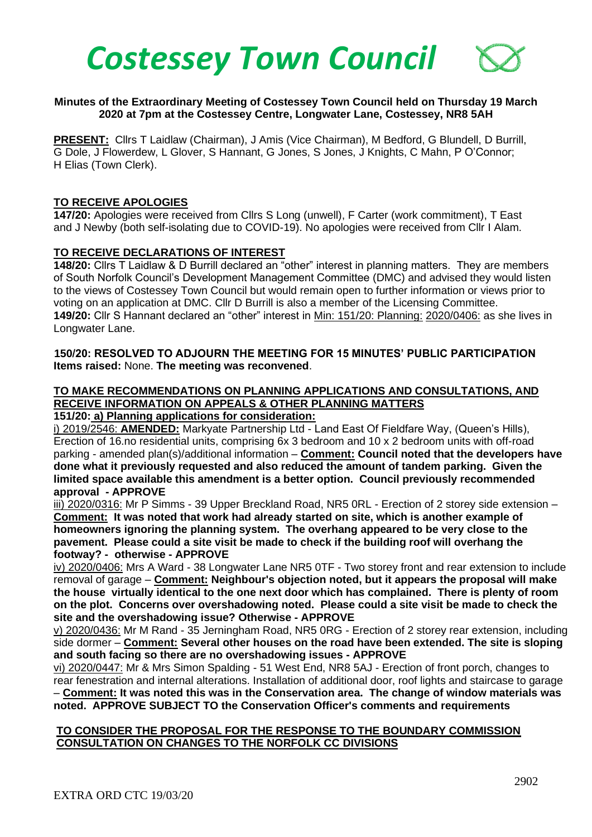

### **Minutes of the Extraordinary Meeting of Costessey Town Council held on Thursday 19 March 2020 at 7pm at the Costessey Centre, Longwater Lane, Costessey, NR8 5AH**

**PRESENT:** Cllrs T Laidlaw (Chairman), J Amis (Vice Chairman), M Bedford, G Blundell, D Burrill, G Dole, J Flowerdew, L Glover, S Hannant, G Jones, S Jones, J Knights, C Mahn, P O'Connor; H Elias (Town Clerk).

#### **TO RECEIVE APOLOGIES**

**147/20:** Apologies were received from Cllrs S Long (unwell), F Carter (work commitment), T East and J Newby (both self-isolating due to COVID-19). No apologies were received from Cllr I Alam.

### **TO RECEIVE DECLARATIONS OF INTEREST**

**148/20:** Cllrs T Laidlaw & D Burrill declared an "other" interest in planning matters. They are members of South Norfolk Council's Development Management Committee (DMC) and advised they would listen to the views of Costessey Town Council but would remain open to further information or views prior to voting on an application at DMC. Cllr D Burrill is also a member of the Licensing Committee. **149/20:** Cllr S Hannant declared an "other" interest in Min: 151/20: Planning: 2020/0406: as she lives in Longwater Lane.

### **150/20: RESOLVED TO ADJOURN THE MEETING FOR 15 MINUTES' PUBLIC PARTICIPATION Items raised:** None. **The meeting was reconvened**.

# **TO MAKE RECOMMENDATIONS ON PLANNING APPLICATIONS AND CONSULTATIONS, AND RECEIVE INFORMATION ON APPEALS & OTHER PLANNING MATTERS**

## **151/20: a) Planning applications for consideration:**

i) 2019/2546: **AMENDED:** Markyate Partnership Ltd - Land East Of Fieldfare Way, (Queen's Hills), Erection of 16.no residential units, comprising 6x 3 bedroom and 10 x 2 bedroom units with off-road parking - amended plan(s)/additional information – **Comment: Council noted that the developers have done what it previously requested and also reduced the amount of tandem parking. Given the limited space available this amendment is a better option. Council previously recommended approval - APPROVE**

iii) 2020/0316: Mr P Simms - 39 Upper Breckland Road, NR5 0RL - Erection of 2 storey side extension – **Comment: It was noted that work had already started on site, which is another example of homeowners ignoring the planning system. The overhang appeared to be very close to the pavement. Please could a site visit be made to check if the building roof will overhang the footway? - otherwise - APPROVE**

iv) 2020/0406: Mrs A Ward - 38 Longwater Lane NR5 0TF - Two storey front and rear extension to include removal of garage – **Comment: Neighbour's objection noted, but it appears the proposal will make the house virtually identical to the one next door which has complained. There is plenty of room on the plot. Concerns over overshadowing noted. Please could a site visit be made to check the site and the overshadowing issue? Otherwise - APPROVE**

v) 2020/0436: Mr M Rand - 35 Jerningham Road, NR5 0RG - Erection of 2 storey rear extension, including side dormer – **Comment: Several other houses on the road have been extended. The site is sloping and south facing so there are no overshadowing issues - APPROVE**

vi) 2020/0447: Mr & Mrs Simon Spalding - 51 West End, NR8 5AJ - Erection of front porch, changes to rear fenestration and internal alterations. Installation of additional door, roof lights and staircase to garage – **Comment: It was noted this was in the Conservation area. The change of window materials was noted. APPROVE SUBJECT TO the Conservation Officer's comments and requirements**

### **TO CONSIDER THE PROPOSAL FOR THE RESPONSE TO THE BOUNDARY COMMISSION CONSULTATION ON CHANGES TO THE NORFOLK CC DIVISIONS**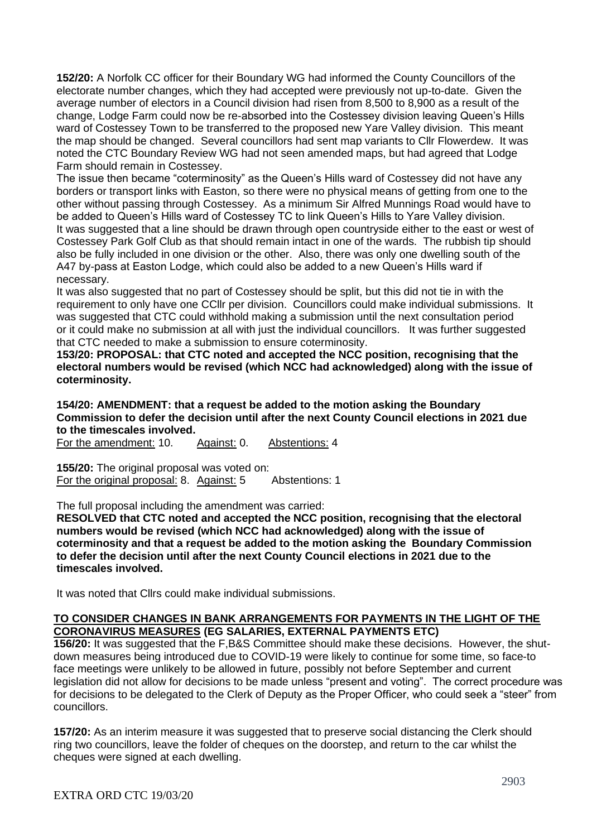**152/20:** A Norfolk CC officer for their Boundary WG had informed the County Councillors of the electorate number changes, which they had accepted were previously not up-to-date. Given the average number of electors in a Council division had risen from 8,500 to 8,900 as a result of the change, Lodge Farm could now be re-absorbed into the Costessey division leaving Queen's Hills ward of Costessey Town to be transferred to the proposed new Yare Valley division. This meant the map should be changed. Several councillors had sent map variants to Cllr Flowerdew. It was noted the CTC Boundary Review WG had not seen amended maps, but had agreed that Lodge Farm should remain in Costessey.

The issue then became "coterminosity" as the Queen's Hills ward of Costessey did not have any borders or transport links with Easton, so there were no physical means of getting from one to the other without passing through Costessey. As a minimum Sir Alfred Munnings Road would have to be added to Queen's Hills ward of Costessey TC to link Queen's Hills to Yare Valley division. It was suggested that a line should be drawn through open countryside either to the east or west of Costessey Park Golf Club as that should remain intact in one of the wards. The rubbish tip should also be fully included in one division or the other. Also, there was only one dwelling south of the A47 by-pass at Easton Lodge, which could also be added to a new Queen's Hills ward if necessary.

It was also suggested that no part of Costessey should be split, but this did not tie in with the requirement to only have one CCllr per division. Councillors could make individual submissions. It was suggested that CTC could withhold making a submission until the next consultation period or it could make no submission at all with just the individual councillors. It was further suggested that CTC needed to make a submission to ensure coterminosity.

**153/20: PROPOSAL: that CTC noted and accepted the NCC position, recognising that the electoral numbers would be revised (which NCC had acknowledged) along with the issue of coterminosity.**

**154/20: AMENDMENT: that a request be added to the motion asking the Boundary Commission to defer the decision until after the next County Council elections in 2021 due to the timescales involved.** 

For the amendment: 10. Against: 0. Abstentions: 4

**155/20:** The original proposal was voted on: For the original proposal: 8. Against: 5 Abstentions: 1

The full proposal including the amendment was carried:

**RESOLVED that CTC noted and accepted the NCC position, recognising that the electoral numbers would be revised (which NCC had acknowledged) along with the issue of coterminosity and that a request be added to the motion asking the Boundary Commission to defer the decision until after the next County Council elections in 2021 due to the timescales involved.** 

It was noted that Cllrs could make individual submissions.

## **TO CONSIDER CHANGES IN BANK ARRANGEMENTS FOR PAYMENTS IN THE LIGHT OF THE CORONAVIRUS MEASURES (EG SALARIES, EXTERNAL PAYMENTS ETC)**

**156/20:** It was suggested that the F,B&S Committee should make these decisions. However, the shutdown measures being introduced due to COVID-19 were likely to continue for some time, so face-to face meetings were unlikely to be allowed in future, possibly not before September and current legislation did not allow for decisions to be made unless "present and voting". The correct procedure was for decisions to be delegated to the Clerk of Deputy as the Proper Officer, who could seek a "steer" from councillors.

**157/20:** As an interim measure it was suggested that to preserve social distancing the Clerk should ring two councillors, leave the folder of cheques on the doorstep, and return to the car whilst the cheques were signed at each dwelling.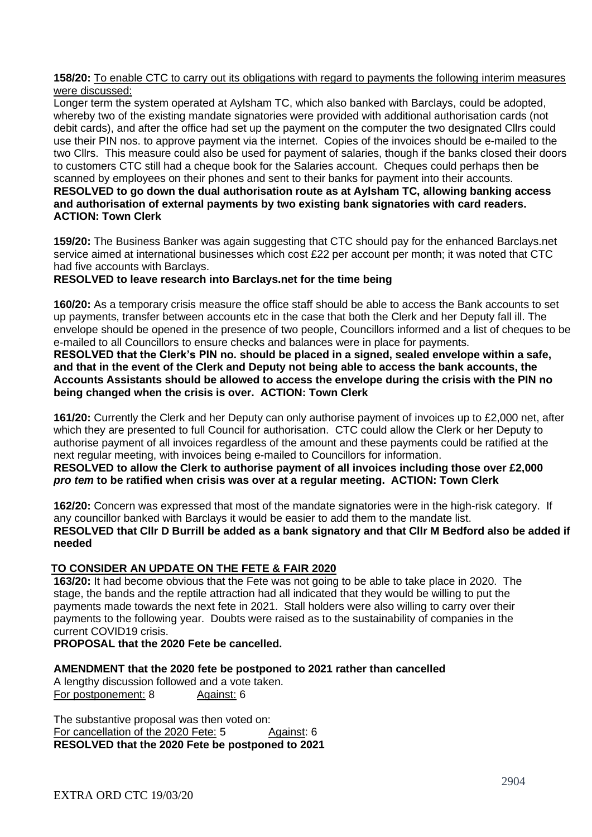#### **158/20:** To enable CTC to carry out its obligations with regard to payments the following interim measures were discussed:

Longer term the system operated at Aylsham TC, which also banked with Barclays, could be adopted, whereby two of the existing mandate signatories were provided with additional authorisation cards (not debit cards), and after the office had set up the payment on the computer the two designated Cllrs could use their PIN nos. to approve payment via the internet. Copies of the invoices should be e-mailed to the two Cllrs. This measure could also be used for payment of salaries, though if the banks closed their doors to customers CTC still had a cheque book for the Salaries account. Cheques could perhaps then be scanned by employees on their phones and sent to their banks for payment into their accounts. **RESOLVED to go down the dual authorisation route as at Aylsham TC, allowing banking access and authorisation of external payments by two existing bank signatories with card readers. ACTION: Town Clerk** 

**159/20:** The Business Banker was again suggesting that CTC should pay for the enhanced Barclays.net service aimed at international businesses which cost £22 per account per month; it was noted that CTC had five accounts with Barclays.

## **RESOLVED to leave research into Barclays.net for the time being**

**160/20:** As a temporary crisis measure the office staff should be able to access the Bank accounts to set up payments, transfer between accounts etc in the case that both the Clerk and her Deputy fall ill. The envelope should be opened in the presence of two people, Councillors informed and a list of cheques to be e-mailed to all Councillors to ensure checks and balances were in place for payments.

**RESOLVED that the Clerk's PIN no. should be placed in a signed, sealed envelope within a safe, and that in the event of the Clerk and Deputy not being able to access the bank accounts, the Accounts Assistants should be allowed to access the envelope during the crisis with the PIN no being changed when the crisis is over. ACTION: Town Clerk** 

**161/20:** Currently the Clerk and her Deputy can only authorise payment of invoices up to £2,000 net, after which they are presented to full Council for authorisation.CTC could allow the Clerk or her Deputy to authorise payment of all invoices regardless of the amount and these payments could be ratified at the next regular meeting, with invoices being e-mailed to Councillors for information.

**RESOLVED to allow the Clerk to authorise payment of all invoices including those over £2,000**  *pro tem* **to be ratified when crisis was over at a regular meeting. ACTION: Town Clerk** 

**162/20:** Concern was expressed that most of the mandate signatories were in the high-risk category. If any councillor banked with Barclays it would be easier to add them to the mandate list. **RESOLVED that Cllr D Burrill be added as a bank signatory and that Cllr M Bedford also be added if needed**

## **TO CONSIDER AN UPDATE ON THE FETE & FAIR 2020**

**163/20:** It had become obvious that the Fete was not going to be able to take place in 2020. The stage, the bands and the reptile attraction had all indicated that they would be willing to put the payments made towards the next fete in 2021. Stall holders were also willing to carry over their payments to the following year. Doubts were raised as to the sustainability of companies in the current COVID19 crisis.

**PROPOSAL that the 2020 Fete be cancelled.**

**AMENDMENT that the 2020 fete be postponed to 2021 rather than cancelled**

A lengthy discussion followed and a vote taken. For postponement: 8 Against: 6

The substantive proposal was then voted on: For cancellation of the 2020 Fete: 5 Against: 6 **RESOLVED that the 2020 Fete be postponed to 2021**